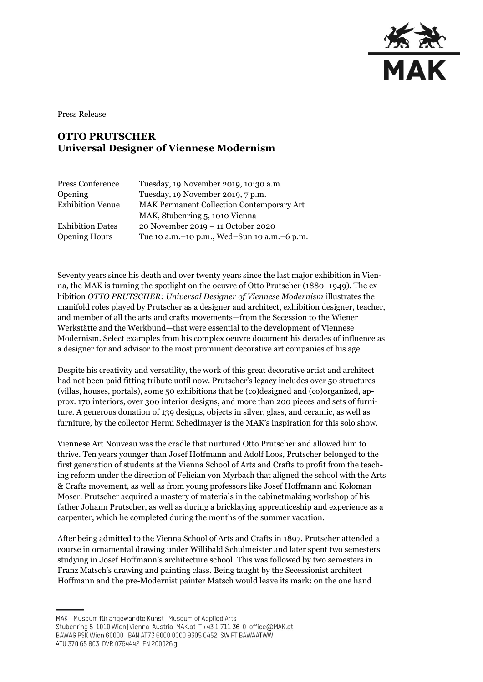

Press Release

## **OTTO PRUTSCHER Universal Designer of Viennese Modernism**

| Press Conference        | Tuesday, 19 November 2019, 10:30 a.m.            |
|-------------------------|--------------------------------------------------|
| Opening                 | Tuesday, 19 November 2019, 7 p.m.                |
| <b>Exhibition Venue</b> | <b>MAK Permanent Collection Contemporary Art</b> |
|                         | MAK, Stubenring 5, 1010 Vienna                   |
| <b>Exhibition Dates</b> | 20 November 2019 - 11 October 2020               |
| <b>Opening Hours</b>    | Tue 10 a.m. - 10 p.m., Wed-Sun 10 a.m. - 6 p.m.  |
|                         |                                                  |

Seventy years since his death and over twenty years since the last major exhibition in Vienna, the MAK is turning the spotlight on the oeuvre of Otto Prutscher (1880–1949). The exhibition *OTTO PRUTSCHER: Universal Designer of Viennese Modernism* illustrates the manifold roles played by Prutscher as a designer and architect, exhibition designer, teacher, and member of all the arts and crafts movements—from the Secession to the Wiener Werkstätte and the Werkbund—that were essential to the development of Viennese Modernism. Select examples from his complex oeuvre document his decades of influence as a designer for and advisor to the most prominent decorative art companies of his age.

Despite his creativity and versatility, the work of this great decorative artist and architect had not been paid fitting tribute until now. Prutscher's legacy includes over 50 structures (villas, houses, portals), some 50 exhibitions that he (co)designed and (co)organized, approx. 170 interiors, over 300 interior designs, and more than 200 pieces and sets of furniture. A generous donation of 139 designs, objects in silver, glass, and ceramic, as well as furniture, by the collector Hermi Schedlmayer is the MAK's inspiration for this solo show.

Viennese Art Nouveau was the cradle that nurtured Otto Prutscher and allowed him to thrive. Ten years younger than Josef Hoffmann and Adolf Loos, Prutscher belonged to the first generation of students at the Vienna School of Arts and Crafts to profit from the teaching reform under the direction of Felician von Myrbach that aligned the school with the Arts & Crafts movement, as well as from young professors like Josef Hoffmann and Koloman Moser. Prutscher acquired a mastery of materials in the cabinetmaking workshop of his father Johann Prutscher, as well as during a bricklaying apprenticeship and experience as a carpenter, which he completed during the months of the summer vacation.

After being admitted to the Vienna School of Arts and Crafts in 1897, Prutscher attended a course in ornamental drawing under Willibald Schulmeister and later spent two semesters studying in Josef Hoffmann's architecture school. This was followed by two semesters in Franz Matsch's drawing and painting class. Being taught by the Secessionist architect Hoffmann and the pre-Modernist painter Matsch would leave its mark: on the one hand

MAK - Museum für angewandte Kunst | Museum of Applied Arts

ATU 370 65 803 DVR 0764442 FN 200026 g

Stubenring 5 1010 Wien | Vienna Austria MAK.at T+43 1 711 36-0 office@MAK.at

BAWAG PSK Wien 60000 IBAN AT73 6000 0000 9305 0452 SWIFT BAWAATWW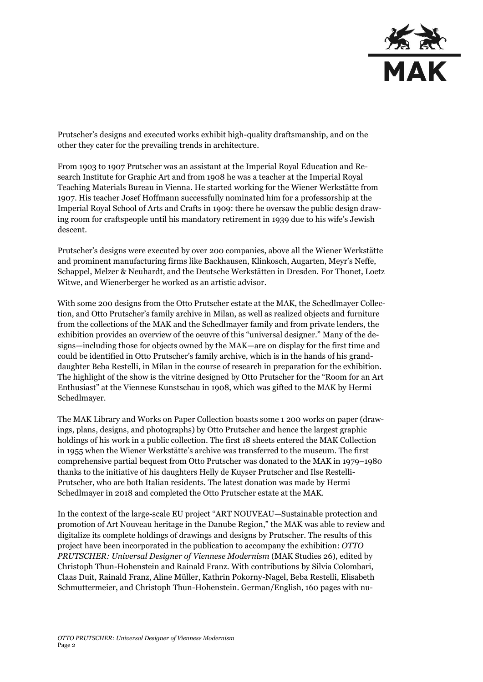

Prutscher's designs and executed works exhibit high-quality draftsmanship, and on the other they cater for the prevailing trends in architecture.

From 1903 to 1907 Prutscher was an assistant at the Imperial Royal Education and Research Institute for Graphic Art and from 1908 he was a teacher at the Imperial Royal Teaching Materials Bureau in Vienna. He started working for the Wiener Werkstätte from 1907. His teacher Josef Hoffmann successfully nominated him for a professorship at the Imperial Royal School of Arts and Crafts in 1909: there he oversaw the public design drawing room for craftspeople until his mandatory retirement in 1939 due to his wife's Jewish descent.

Prutscher's designs were executed by over 200 companies, above all the Wiener Werkstätte and prominent manufacturing firms like Backhausen, Klinkosch, Augarten, Meyr's Neffe, Schappel, Melzer & Neuhardt, and the Deutsche Werkstätten in Dresden. For Thonet, Loetz Witwe, and Wienerberger he worked as an artistic advisor.

With some 200 designs from the Otto Prutscher estate at the MAK, the Schedlmayer Collection, and Otto Prutscher's family archive in Milan, as well as realized objects and furniture from the collections of the MAK and the Schedlmayer family and from private lenders, the exhibition provides an overview of the oeuvre of this "universal designer." Many of the designs—including those for objects owned by the MAK—are on display for the first time and could be identified in Otto Prutscher's family archive, which is in the hands of his granddaughter Beba Restelli, in Milan in the course of research in preparation for the exhibition. The highlight of the show is the vitrine designed by Otto Prutscher for the "Room for an Art Enthusiast" at the Viennese Kunstschau in 1908, which was gifted to the MAK by Hermi Schedlmayer.

The MAK Library and Works on Paper Collection boasts some 1 200 works on paper (drawings, plans, designs, and photographs) by Otto Prutscher and hence the largest graphic holdings of his work in a public collection. The first 18 sheets entered the MAK Collection in 1955 when the Wiener Werkstätte's archive was transferred to the museum. The first comprehensive partial bequest from Otto Prutscher was donated to the MAK in 1979–1980 thanks to the initiative of his daughters Helly de Kuyser Prutscher and Ilse Restelli-Prutscher, who are both Italian residents. The latest donation was made by Hermi Schedlmayer in 2018 and completed the Otto Prutscher estate at the MAK.

In the context of the large-scale EU project "ART NOUVEAU—Sustainable protection and promotion of Art Nouveau heritage in the Danube Region," the MAK was able to review and digitalize its complete holdings of drawings and designs by Prutscher. The results of this project have been incorporated in the publication to accompany the exhibition: *OTTO PRUTSCHER: Universal Designer of Viennese Modernism* (MAK Studies 26), edited by Christoph Thun-Hohenstein and Rainald Franz. With contributions by Silvia Colombari, Claas Duit, Rainald Franz, Aline Müller, Kathrin Pokorny-Nagel, Beba Restelli, Elisabeth Schmuttermeier, and Christoph Thun-Hohenstein. German/English, 160 pages with nu-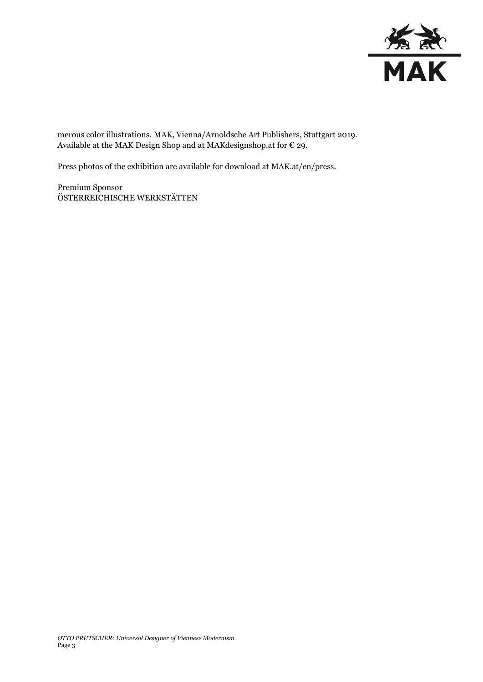

merous color illustrations. MAK, Vienna/Arnoldsche Art Publishers, Stuttgart 2019. Available at the MAK Design Shop and at MAK<br>designshop.at for  $\mathop{\mathcal{C}}$  29.

Press photos of the exhibition are available for download at MAK.at/en/press.

Premium Sponsor ÖSTERREICHISCHE WERKSTÄTTEN